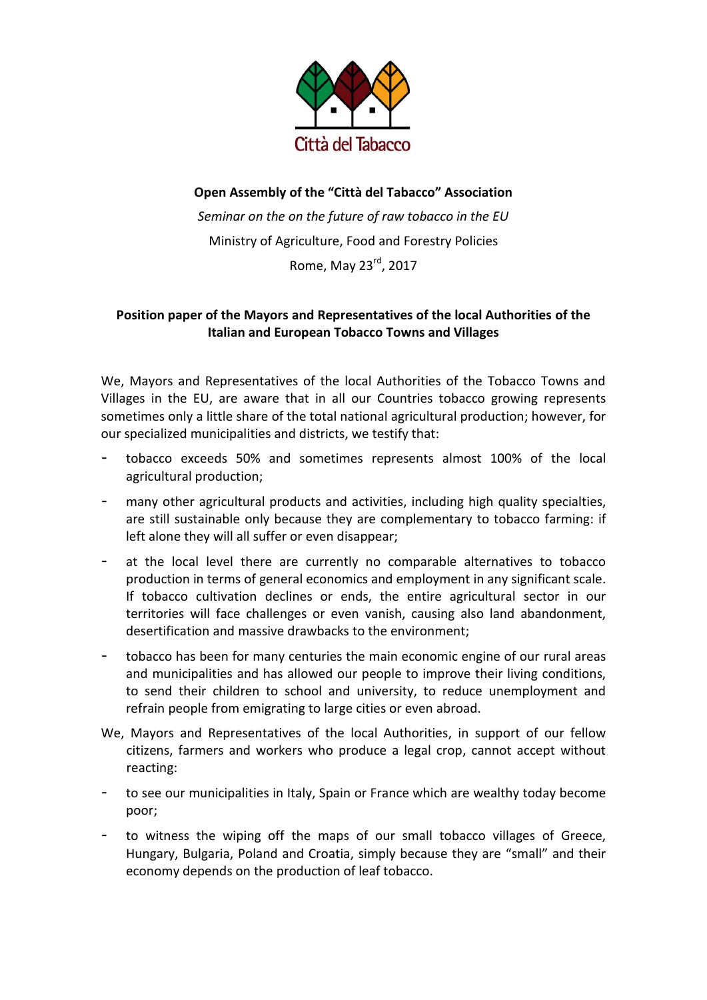

## **Open Assembly of the "Città del Tabacco" Association** *Seminar on the on the future of raw tobacco in the EU* Ministry of Agriculture, Food and Forestry Policies Rome, May 23rd, 2017

## **Position paper of the Mayors and Representatives of the local Authorities of the Italian and European Tobacco Towns and Villages**

We, Mayors and Representatives of the local Authorities of the Tobacco Towns and Villages in the EU, are aware that in all our Countries tobacco growing represents sometimes only a little share of the total national agricultural production; however, for our specialized municipalities and districts, we testify that:

- tobacco exceeds 50% and sometimes represents almost 100% of the local agricultural production;
- many other agricultural products and activities, including high quality specialties, are still sustainable only because they are complementary to tobacco farming: if left alone they will all suffer or even disappear;
- at the local level there are currently no comparable alternatives to tobacco production in terms of general economics and employment in any significant scale. If tobacco cultivation declines or ends, the entire agricultural sector in our territories will face challenges or even vanish, causing also land abandonment, desertification and massive drawbacks to the environment;
- tobacco has been for many centuries the main economic engine of our rural areas and municipalities and has allowed our people to improve their living conditions, to send their children to school and university, to reduce unemployment and refrain people from emigrating to large cities or even abroad.
- We, Mayors and Representatives of the local Authorities, in support of our fellow citizens, farmers and workers who produce a legal crop, cannot accept without reacting:
- to see our municipalities in Italy, Spain or France which are wealthy today become poor;
- to witness the wiping off the maps of our small tobacco villages of Greece, Hungary, Bulgaria, Poland and Croatia, simply because they are "small" and their economy depends on the production of leaf tobacco.